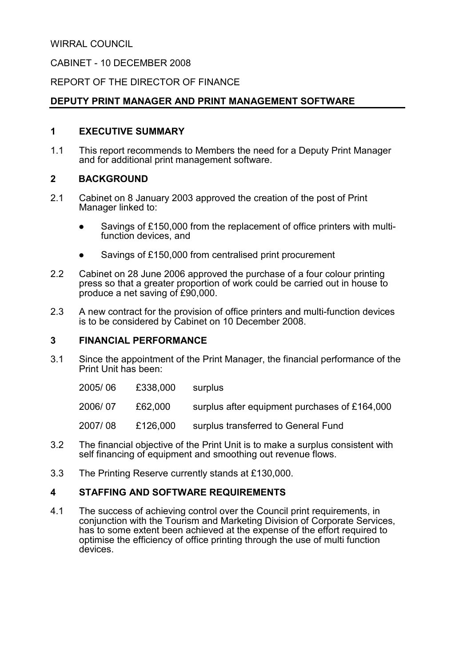WIRRAL COUNCIL

CABINET - 10 DECEMBER 2008

### REPORT OF THE DIRECTOR OF FINANCE

### DEPUTY PRINT MANAGER AND PRINT MANAGEMENT SOFTWARE

### 1 EXECUTIVE SUMMARY

1.1 This report recommends to Members the need for a Deputy Print Manager and for additional print management software.

### 2 BACKGROUND

- 2.1 Cabinet on 8 January 2003 approved the creation of the post of Print Manager linked to:
	- Savings of £150,000 from the replacement of office printers with multifunction devices, and
	- Savings of £150,000 from centralised print procurement
- 2.2 Cabinet on 28 June 2006 approved the purchase of a four colour printing press so that a greater proportion of work could be carried out in house to produce a net saving of £90,000.
- 2.3 A new contract for the provision of office printers and multi-function devices is to be considered by Cabinet on 10 December 2008.

#### 3 FINANCIAL PERFORMANCE

- 3.1 Since the appointment of the Print Manager, the financial performance of the Print Unit has been:
	- 2005/ 06 £338,000 surplus
	- 2006/ 07 £62,000 surplus after equipment purchases of £164,000
	- 2007/ 08 £126,000 surplus transferred to General Fund
- 3.2 The financial objective of the Print Unit is to make a surplus consistent with self financing of equipment and smoothing out revenue flows.
- 3.3 The Printing Reserve currently stands at £130,000.

### 4 STAFFING AND SOFTWARE REQUIREMENTS

4.1 The success of achieving control over the Council print requirements, in conjunction with the Tourism and Marketing Division of Corporate Services, has to some extent been achieved at the expense of the effort required to optimise the efficiency of office printing through the use of multi function devices.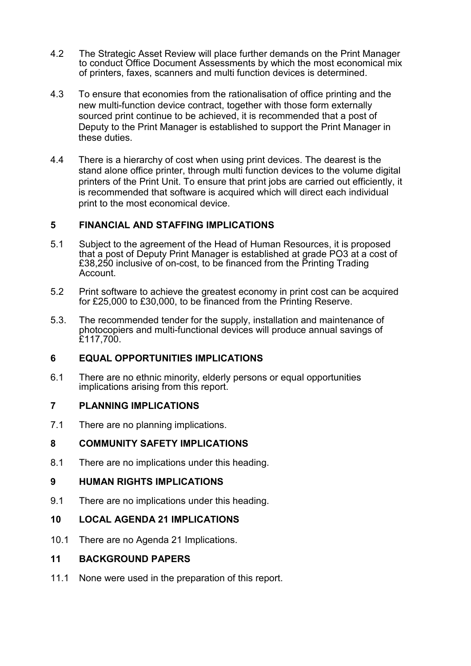- 4.2 The Strategic Asset Review will place further demands on the Print Manager to conduct Office Document Assessments by which the most economical mix of printers, faxes, scanners and multi function devices is determined.
- 4.3 To ensure that economies from the rationalisation of office printing and the new multi-function device contract, together with those form externally sourced print continue to be achieved, it is recommended that a post of Deputy to the Print Manager is established to support the Print Manager in these duties.
- 4.4 There is a hierarchy of cost when using print devices. The dearest is the stand alone office printer, through multi function devices to the volume digital printers of the Print Unit. To ensure that print jobs are carried out efficiently, it is recommended that software is acquired which will direct each individual print to the most economical device.

## 5 FINANCIAL AND STAFFING IMPLICATIONS

- 5.1 Subject to the agreement of the Head of Human Resources, it is proposed that a post of Deputy Print Manager is established at grade PO3 at a cost of £38,250 inclusive of on-cost, to be financed from the Printing Trading Account.
- 5.2 Print software to achieve the greatest economy in print cost can be acquired for £25,000 to £30,000, to be financed from the Printing Reserve.
- 5.3. The recommended tender for the supply, installation and maintenance of photocopiers and multi-functional devices will produce annual savings of £117,700.

### 6 EQUAL OPPORTUNITIES IMPLICATIONS

6.1 There are no ethnic minority, elderly persons or equal opportunities implications arising from this report.

# 7 PLANNING IMPLICATIONS

7.1 There are no planning implications.

## 8 COMMUNITY SAFETY IMPLICATIONS

8.1 There are no implications under this heading.

## 9 HUMAN RIGHTS IMPLICATIONS

9.1 There are no implications under this heading.

## 10 LOCAL AGENDA 21 IMPLICATIONS

10.1 There are no Agenda 21 Implications.

### 11 BACKGROUND PAPERS

11.1 None were used in the preparation of this report.